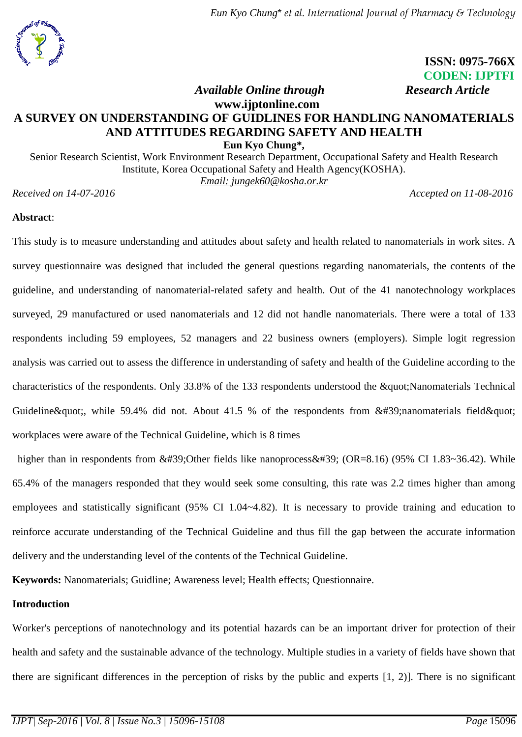## **ISSN: 0975-766X CODEN: IJPTFI** *<i>Available Online through* Research Article

# **www.ijptonline.com A SURVEY ON UNDERSTANDING OF GUIDLINES FOR HANDLING NANOMATERIALS AND ATTITUDES REGARDING SAFETY AND HEALTH**

**Eun Kyo Chung\*,** Senior Research Scientist, Work Environment Research Department, Occupational Safety and Health Research Institute, Korea Occupational Safety and Health Agency(KOSHA). *Email: [jungek60@kosha.or.kr](mailto:jungek60@kosha.or.kr)*

*Received on 14-07-2016 Accepted on 11-08-2016* 

### **Abstract**:

This study is to measure understanding and attitudes about safety and health related to nanomaterials in work sites. A survey questionnaire was designed that included the general questions regarding nanomaterials, the contents of the guideline, and understanding of nanomaterial-related safety and health. Out of the 41 nanotechnology workplaces surveyed, 29 manufactured or used nanomaterials and 12 did not handle nanomaterials. There were a total of 133 respondents including 59 employees, 52 managers and 22 business owners (employers). Simple logit regression analysis was carried out to assess the difference in understanding of safety and health of the Guideline according to the characteristics of the respondents. Only 33.8% of the 133 respondents understood the " Nanomaterials Technical Guideline & quot;, while 59.4% did not. About 41.5 % of the respondents from  $&\#39$ ; nanomaterials field & quot; workplaces were aware of the Technical Guideline, which is 8 times

higher than in respondents from  $&\#39$ ; Other fields like nanoprocess $&\#39$ ; (OR=8.16) (95% CI 1.83~36.42). While 65.4% of the managers responded that they would seek some consulting, this rate was 2.2 times higher than among employees and statistically significant (95% CI 1.04~4.82). It is necessary to provide training and education to reinforce accurate understanding of the Technical Guideline and thus fill the gap between the accurate information delivery and the understanding level of the contents of the Technical Guideline.

**Keywords:** Nanomaterials; Guidline; Awareness level; Health effects; Questionnaire.

## **Introduction**

Worker's perceptions of nanotechnology and its potential hazards can be an important driver for protection of their health and safety and the sustainable advance of the technology. Multiple studies in a variety of fields have shown that there are significant differences in the perception of risks by the public and experts [1, 2)]. There is no significant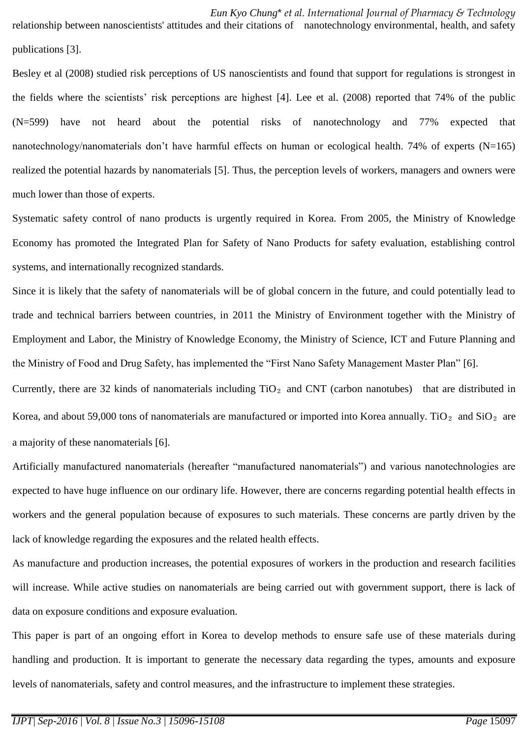*Eun Kyo Chung*\* *et al. International Journal of Pharmacy & Technology* relationship between nanoscientists' attitudes and their citations of nanotechnology environmental, health, and safety publications [3].

Besley et al (2008) studied risk perceptions of US nanoscientists and found that support for regulations is strongest in the fields where the scientists' risk perceptions are highest [4]. Lee et al. (2008) reported that 74% of the public (N=599) have not heard about the potential risks of nanotechnology and 77% expected that nanotechnology/nanomaterials don't have harmful effects on human or ecological health. 74% of experts (N=165) realized the potential hazards by nanomaterials [5]. Thus, the perception levels of workers, managers and owners were much lower than those of experts.

Systematic safety control of nano products is urgently required in Korea. From 2005, the Ministry of Knowledge Economy has promoted the Integrated Plan for Safety of Nano Products for safety evaluation, establishing control systems, and internationally recognized standards.

Since it is likely that the safety of nanomaterials will be of global concern in the future, and could potentially lead to trade and technical barriers between countries, in 2011 the Ministry of Environment together with the Ministry of Employment and Labor, the Ministry of Knowledge Economy, the Ministry of Science, ICT and Future Planning and the Ministry of Food and Drug Safety, has implemented the "First Nano Safety Management Master Plan" [6].

Currently, there are 32 kinds of nanomaterials including  $TiO<sub>2</sub>$  and CNT (carbon nanotubes) that are distributed in Korea, and about 59,000 tons of nanomaterials are manufactured or imported into Korea annually. TiO<sub>2</sub> and SiO<sub>2</sub> are a majority of these nanomaterials [6].

Artificially manufactured nanomaterials (hereafter "manufactured nanomaterials") and various nanotechnologies are expected to have huge influence on our ordinary life. However, there are concerns regarding potential health effects in workers and the general population because of exposures to such materials. These concerns are partly driven by the lack of knowledge regarding the exposures and the related health effects.

As manufacture and production increases, the potential exposures of workers in the production and research facilities will increase. While active studies on nanomaterials are being carried out with government support, there is lack of data on exposure conditions and exposure evaluation.

This paper is part of an ongoing effort in Korea to develop methods to ensure safe use of these materials during handling and production. It is important to generate the necessary data regarding the types, amounts and exposure levels of nanomaterials, safety and control measures, and the infrastructure to implement these strategies.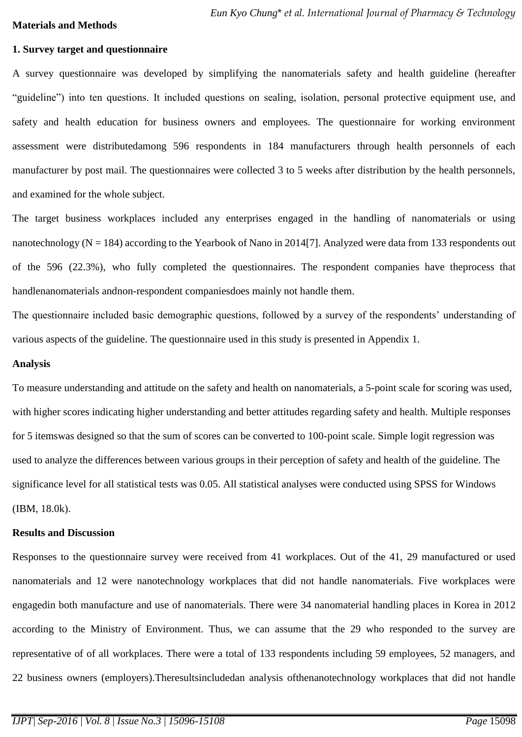#### **Materials and Methods**

### **1. Survey target and questionnaire**

A survey questionnaire was developed by simplifying the nanomaterials safety and health guideline (hereafter "guideline") into ten questions. It included questions on sealing, isolation, personal protective equipment use, and safety and health education for business owners and employees. The questionnaire for working environment assessment were distributedamong 596 respondents in 184 manufacturers through health personnels of each manufacturer by post mail. The questionnaires were collected 3 to 5 weeks after distribution by the health personnels, and examined for the whole subject.

The target business workplaces included any enterprises engaged in the handling of nanomaterials or using nanotechnology ( $N = 184$ ) according to the Yearbook of Nano in 2014[7]. Analyzed were data from 133 respondents out of the 596 (22.3%), who fully completed the questionnaires. The respondent companies have theprocess that handlenanomaterials andnon-respondent companiesdoes mainly not handle them.

The questionnaire included basic demographic questions, followed by a survey of the respondents' understanding of various aspects of the guideline. The questionnaire used in this study is presented in Appendix 1.

## **Analysis**

To measure understanding and attitude on the safety and health on nanomaterials, a 5-point scale for scoring was used, with higher scores indicating higher understanding and better attitudes regarding safety and health. Multiple responses for 5 itemswas designed so that the sum of scores can be converted to 100-point scale. Simple logit regression was used to analyze the differences between various groups in their perception of safety and health of the guideline. The significance level for all statistical tests was 0.05. All statistical analyses were conducted using SPSS for Windows (IBM, 18.0k).

### **Results and Discussion**

Responses to the questionnaire survey were received from 41 workplaces. Out of the 41, 29 manufactured or used nanomaterials and 12 were nanotechnology workplaces that did not handle nanomaterials. Five workplaces were engagedin both manufacture and use of nanomaterials. There were 34 nanomaterial handling places in Korea in 2012 according to the Ministry of Environment. Thus, we can assume that the 29 who responded to the survey are representative of of all workplaces. There were a total of 133 respondents including 59 employees, 52 managers, and 22 business owners (employers).Theresultsincludedan analysis ofthenanotechnology workplaces that did not handle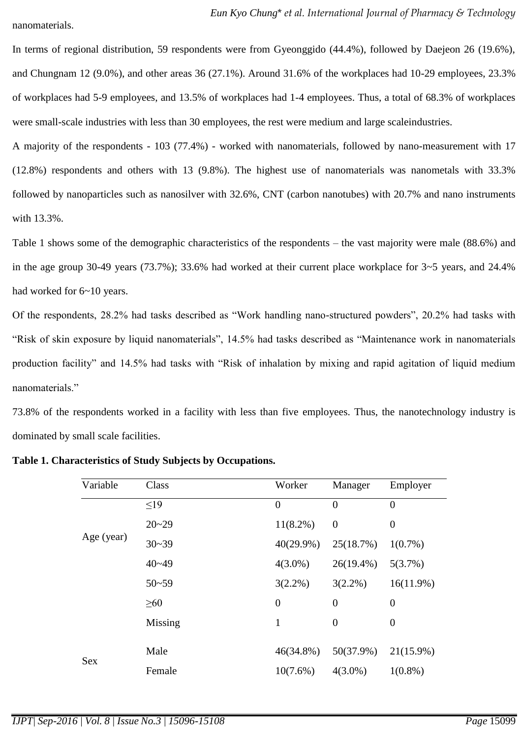nanomaterials.

In terms of regional distribution, 59 respondents were from Gyeonggido (44.4%), followed by Daejeon 26 (19.6%), and Chungnam 12 (9.0%), and other areas 36 (27.1%). Around 31.6% of the workplaces had 10-29 employees, 23.3% of workplaces had 5-9 employees, and 13.5% of workplaces had 1-4 employees. Thus, a total of 68.3% of workplaces were small-scale industries with less than 30 employees, the rest were medium and large scaleindustries.

A majority of the respondents - 103 (77.4%) - worked with nanomaterials, followed by nano-measurement with 17 (12.8%) respondents and others with 13 (9.8%). The highest use of nanomaterials was nanometals with 33.3% followed by nanoparticles such as nanosilver with 32.6%, CNT (carbon nanotubes) with 20.7% and nano instruments with 13.3%.

Table 1 shows some of the demographic characteristics of the respondents – the vast majority were male (88.6%) and in the age group 30-49 years (73.7%); 33.6% had worked at their current place workplace for 3~5 years, and 24.4% had worked for  $6\negthinspace\negthinspace-10$  years.

Of the respondents, 28.2% had tasks described as "Work handling nano-structured powders", 20.2% had tasks with "Risk of skin exposure by liquid nanomaterials", 14.5% had tasks described as "Maintenance work in nanomaterials production facility" and 14.5% had tasks with "Risk of inhalation by mixing and rapid agitation of liquid medium nanomaterials."

73.8% of the respondents worked in a facility with less than five employees. Thus, the nanotechnology industry is dominated by small scale facilities.

| Variable   | Class     | Worker           | Manager          | Employer         |
|------------|-----------|------------------|------------------|------------------|
|            | $\leq19$  | $\overline{0}$   | $\overline{0}$   | $\overline{0}$   |
|            | $20 - 29$ | $11(8.2\%)$      | $\boldsymbol{0}$ | $\boldsymbol{0}$ |
| Age (year) | $30 - 39$ | $40(29.9\%)$     | 25(18.7%)        | $1(0.7\%)$       |
|            | $40 - 49$ | $4(3.0\%)$       | $26(19.4\%)$     | 5(3.7%)          |
|            | $50 - 59$ | $3(2.2\%)$       | $3(2.2\%)$       | $16(11.9\%)$     |
|            | $\geq 60$ | $\boldsymbol{0}$ | $\boldsymbol{0}$ | $\boldsymbol{0}$ |
|            | Missing   | $\mathbf{1}$     | $\overline{0}$   | $\boldsymbol{0}$ |
|            | Male      | 46(34.8%)        | 50(37.9%)        | $21(15.9\%)$     |
| Sex        |           |                  |                  |                  |
|            | Female    | $10(7.6\%)$      | $4(3.0\%)$       | $1(0.8\%)$       |

**Table 1. Characteristics of Study Subjects by Occupations.**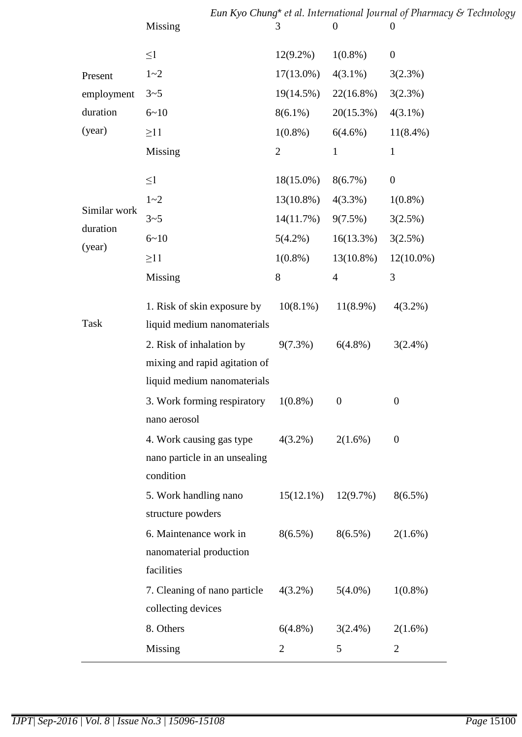|                    | Eun Kyo Chung* et al. International Journal of Pharmacy & Technology                                                    |                |                  |                  |  |  |  |
|--------------------|-------------------------------------------------------------------------------------------------------------------------|----------------|------------------|------------------|--|--|--|
|                    | Missing                                                                                                                 | 3              | $\overline{0}$   | $\boldsymbol{0}$ |  |  |  |
|                    | $\leq1$                                                                                                                 | $12(9.2\%)$    | $1(0.8\%)$       | $\boldsymbol{0}$ |  |  |  |
| Present            | $1 - 2$                                                                                                                 | $17(13.0\%)$   | $4(3.1\%)$       | 3(2.3%)          |  |  |  |
| employment         | $3 - 5$                                                                                                                 | $19(14.5\%)$   | $22(16.8\%)$     | 3(2.3%)          |  |  |  |
| duration           | $6 - 10$                                                                                                                | $8(6.1\%)$     | 20(15.3%)        | $4(3.1\%)$       |  |  |  |
| (year)             | $\geq$ 11                                                                                                               | $1(0.8\%)$     | $6(4.6\%)$       | $11(8.4\%)$      |  |  |  |
|                    | Missing                                                                                                                 | $\overline{2}$ | $\mathbf{1}$     | $\mathbf{1}$     |  |  |  |
|                    | $\leq1$                                                                                                                 | $18(15.0\%)$   | $8(6.7\%)$       | $\boldsymbol{0}$ |  |  |  |
|                    | $1 - 2$                                                                                                                 | $13(10.8\%)$   | 4(3.3%)          | $1(0.8\%)$       |  |  |  |
| Similar work       | $3 - 5$                                                                                                                 | 14(11.7%)      | $9(7.5\%)$       | 3(2.5%)          |  |  |  |
| duration<br>(year) | $6 - 10$                                                                                                                | $5(4.2\%)$     | 16(13.3%)        | 3(2.5%)          |  |  |  |
|                    | $\geq$ 11                                                                                                               | $1(0.8\%)$     | 13(10.8%)        | $12(10.0\%)$     |  |  |  |
|                    | Missing                                                                                                                 | 8              | $\overline{4}$   | 3                |  |  |  |
|                    | 1. Risk of skin exposure by                                                                                             | $10(8.1\%)$    | $11(8.9\%)$      | $4(3.2\%)$       |  |  |  |
| Task               | liquid medium nanomaterials<br>2. Risk of inhalation by<br>mixing and rapid agitation of<br>liquid medium nanomaterials | $9(7.3\%)$     | $6(4.8\%)$       | $3(2.4\%)$       |  |  |  |
|                    | 3. Work forming respiratory<br>nano aerosol                                                                             | $1(0.8\%)$     | $\boldsymbol{0}$ | $\boldsymbol{0}$ |  |  |  |
|                    | 4. Work causing gas type<br>nano particle in an unsealing<br>condition                                                  | $4(3.2\%)$     | $2(1.6\%)$       | $\boldsymbol{0}$ |  |  |  |
|                    | 5. Work handling nano<br>structure powders                                                                              | $15(12.1\%)$   | $12(9.7\%)$      | $8(6.5\%)$       |  |  |  |
|                    | 6. Maintenance work in<br>nanomaterial production<br>facilities                                                         | $8(6.5\%)$     | $8(6.5\%)$       | $2(1.6\%)$       |  |  |  |
|                    | 7. Cleaning of nano particle<br>collecting devices                                                                      | $4(3.2\%)$     | $5(4.0\%)$       | $1(0.8\%)$       |  |  |  |
|                    | 8. Others                                                                                                               | $6(4.8\%)$     | $3(2.4\%)$       | 2(1.6%)          |  |  |  |
|                    | Missing                                                                                                                 | $\overline{2}$ | 5                | $\overline{2}$   |  |  |  |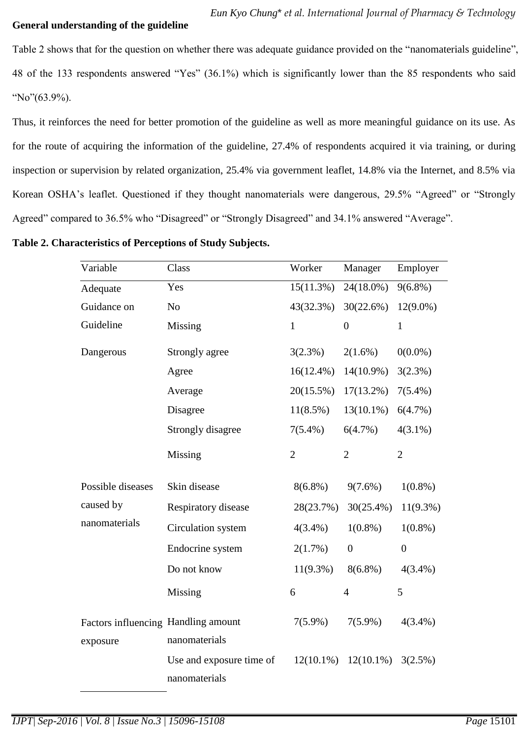### **General understanding of the guideline**

Table 2 shows that for the question on whether there was adequate guidance provided on the "nanomaterials guideline", 48 of the 133 respondents answered "Yes" (36.1%) which is significantly lower than the 85 respondents who said "No"(63.9%).

Thus, it reinforces the need for better promotion of the guideline as well as more meaningful guidance on its use. As for the route of acquiring the information of the guideline, 27.4% of respondents acquired it via training, or during inspection or supervision by related organization, 25.4% via government leaflet, 14.8% via the Internet, and 8.5% via Korean OSHA's leaflet. Questioned if they thought nanomaterials were dangerous, 29.5% "Agreed" or "Strongly Agreed" compared to 36.5% who "Disagreed" or "Strongly Disagreed" and 34.1% answered "Average".

**Table 2. Characteristics of Perceptions of Study Subjects.** 

| Variable                                        | Class                                     | Worker         | Manager                   | Employer       |
|-------------------------------------------------|-------------------------------------------|----------------|---------------------------|----------------|
| Adequate                                        | Yes                                       | 15(11.3%)      | 24(18.0%)                 | $9(6.8\%)$     |
| Guidance on                                     | N <sub>o</sub>                            | 43(32.3%)      | 30(22.6%)                 | $12(9.0\%)$    |
| Guideline                                       | Missing                                   | $\mathbf{1}$   | $\overline{0}$            | $\mathbf{1}$   |
| Dangerous                                       | Strongly agree                            | 3(2.3%)        | $2(1.6\%)$                | $0(0.0\%)$     |
|                                                 | Agree                                     | $16(12.4\%)$   | 14(10.9%)                 | 3(2.3%)        |
|                                                 | Average                                   | 20(15.5%)      | $17(13.2\%)$              | $7(5.4\%)$     |
|                                                 | Disagree                                  | $11(8.5\%)$    | $13(10.1\%)$              | 6(4.7%)        |
|                                                 | Strongly disagree                         | $7(5.4\%)$     | 6(4.7%)                   | $4(3.1\%)$     |
|                                                 | Missing                                   | $\overline{2}$ | $\overline{2}$            | $\overline{2}$ |
| Possible diseases                               | Skin disease                              | $8(6.8\%)$     | $9(7.6\%)$                | $1(0.8\%)$     |
| caused by                                       | Respiratory disease                       | 28(23.7%)      | $30(25.4\%)$              | $11(9.3\%)$    |
| nanomaterials                                   | Circulation system                        | $4(3.4\%)$     | $1(0.8\%)$                | $1(0.8\%)$     |
|                                                 | Endocrine system                          | 2(1.7%)        | $\boldsymbol{0}$          | $\overline{0}$ |
|                                                 | Do not know                               | $11(9.3\%)$    | $8(6.8\%)$                | $4(3.4\%)$     |
|                                                 | Missing                                   | 6              | $\overline{4}$            | 5              |
| Factors influencing Handling amount<br>exposure | nanomaterials                             | $7(5.9\%)$     | $7(5.9\%)$                | $4(3.4\%)$     |
|                                                 | Use and exposure time of<br>nanomaterials |                | $12(10.1\%)$ $12(10.1\%)$ | 3(2.5%)        |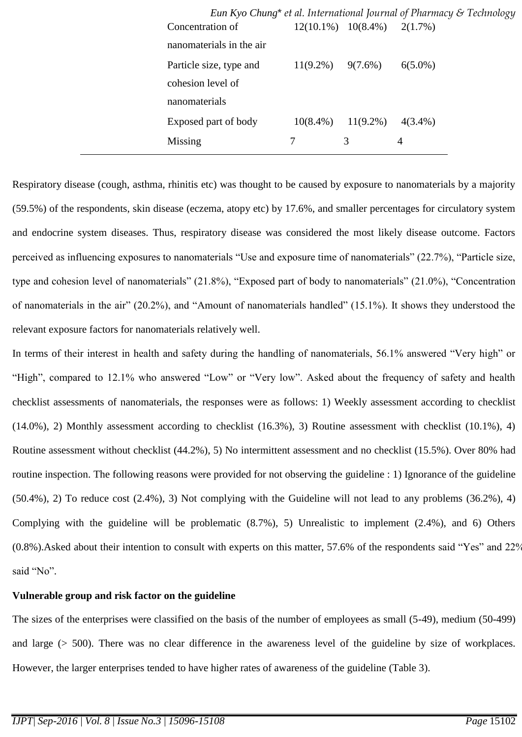|                          |                        |                                     | Eun Kyo Chung* et al. International Journal of Pharmacy & Technology |
|--------------------------|------------------------|-------------------------------------|----------------------------------------------------------------------|
| Concentration of         |                        | $12(10.1\%)$ $10(8.4\%)$ $2(1.7\%)$ |                                                                      |
| nanomaterials in the air |                        |                                     |                                                                      |
| Particle size, type and  | $11(9.2\%)$ $9(7.6\%)$ |                                     | $6(5.0\%)$                                                           |
| cohesion level of        |                        |                                     |                                                                      |
| nanomaterials            |                        |                                     |                                                                      |
| Exposed part of body     | $10(8.4\%)$            | $11(9.2\%)$                         | $4(3.4\%)$                                                           |
| Missing                  |                        | 3                                   | 4                                                                    |
|                          |                        |                                     |                                                                      |

Respiratory disease (cough, asthma, rhinitis etc) was thought to be caused by exposure to nanomaterials by a majority (59.5%) of the respondents, skin disease (eczema, atopy etc) by 17.6%, and smaller percentages for circulatory system and endocrine system diseases. Thus, respiratory disease was considered the most likely disease outcome. Factors perceived as influencing exposures to nanomaterials "Use and exposure time of nanomaterials" (22.7%), "Particle size, type and cohesion level of nanomaterials" (21.8%), "Exposed part of body to nanomaterials" (21.0%), "Concentration of nanomaterials in the air" (20.2%), and "Amount of nanomaterials handled" (15.1%). It shows they understood the relevant exposure factors for nanomaterials relatively well.

In terms of their interest in health and safety during the handling of nanomaterials, 56.1% answered "Very high" or "High", compared to 12.1% who answered "Low" or "Very low". Asked about the frequency of safety and health checklist assessments of nanomaterials, the responses were as follows: 1) Weekly assessment according to checklist (14.0%), 2) Monthly assessment according to checklist (16.3%), 3) Routine assessment with checklist (10.1%), 4) Routine assessment without checklist (44.2%), 5) No intermittent assessment and no checklist (15.5%). Over 80% had routine inspection. The following reasons were provided for not observing the guideline : 1) Ignorance of the guideline (50.4%), 2) To reduce cost (2.4%), 3) Not complying with the Guideline will not lead to any problems (36.2%), 4) Complying with the guideline will be problematic (8.7%), 5) Unrealistic to implement (2.4%), and 6) Others (0.8%).Asked about their intention to consult with experts on this matter, 57.6% of the respondents said "Yes" and 22% said "No".

## **Vulnerable group and risk factor on the guideline**

The sizes of the enterprises were classified on the basis of the number of employees as small (5-49), medium (50-499) and large (> 500). There was no clear difference in the awareness level of the guideline by size of workplaces. However, the larger enterprises tended to have higher rates of awareness of the guideline (Table 3).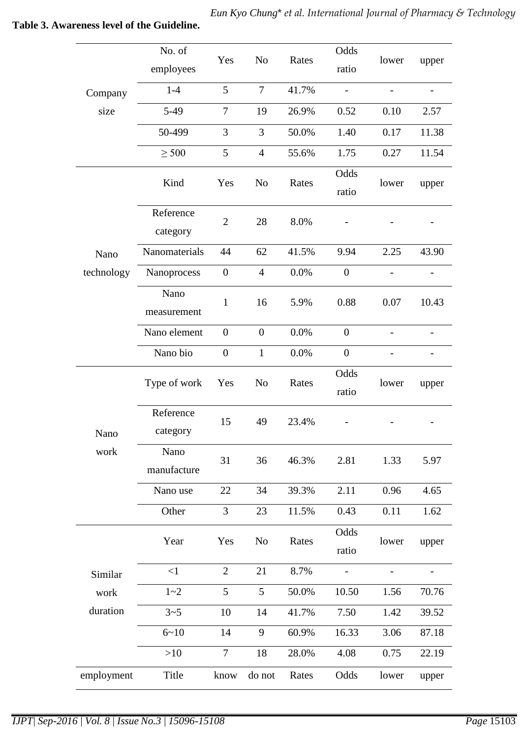|            | No. of<br>employees   | Yes              | N <sub>o</sub>   | Rates | Odds<br>ratio    | lower                    | upper                    |
|------------|-----------------------|------------------|------------------|-------|------------------|--------------------------|--------------------------|
| Company    | $1-4$                 | 5                | $\tau$           | 41.7% |                  |                          |                          |
| size       | $5-49$                | $\overline{7}$   | 19               | 26.9% | 0.52             | 0.10                     | 2.57                     |
|            | 50-499                | 3                | 3                | 50.0% | 1.40             | 0.17                     | 11.38                    |
|            | $\geq 500$            | 5                | $\overline{4}$   | 55.6% | 1.75             | 0.27                     | 11.54                    |
|            | Kind                  | Yes              | N <sub>o</sub>   | Rates | Odds<br>ratio    | lower                    | upper                    |
|            | Reference<br>category | $\overline{2}$   | 28               | 8.0%  |                  |                          |                          |
| Nano       | Nanomaterials         | 44               | 62               | 41.5% | 9.94             | 2.25                     | 43.90                    |
| technology | Nanoprocess           | $\boldsymbol{0}$ | $\overline{4}$   | 0.0%  | $\boldsymbol{0}$ | $\overline{a}$           |                          |
|            | Nano<br>measurement   | $\mathbf{1}$     | 16               | 5.9%  | 0.88             | 0.07                     | 10.43                    |
|            | Nano element          | $\boldsymbol{0}$ | $\boldsymbol{0}$ | 0.0%  | $\boldsymbol{0}$ |                          |                          |
|            | Nano bio              | $\boldsymbol{0}$ | $\mathbf{1}$     | 0.0%  | $\boldsymbol{0}$ |                          |                          |
|            | Type of work          | Yes              | N <sub>o</sub>   | Rates | Odds<br>ratio    | lower                    | upper                    |
| Nano       | Reference<br>category | 15               | 49               | 23.4% |                  |                          |                          |
| work       | Nano<br>manufacture   | 31               | 36               | 46.3% | 2.81             | 1.33                     | 5.97                     |
|            | Nano use              | 22               | 34               | 39.3% | 2.11             | 0.96                     | 4.65                     |
|            | Other                 | 3                | 23               | 11.5% | 0.43             | 0.11                     | 1.62                     |
|            | Year                  | Yes              | No               | Rates | Odds<br>ratio    | lower                    | upper                    |
| Similar    | $\leq$ 1              | $\overline{2}$   | 21               | 8.7%  | $\frac{1}{2}$    | $\overline{\phantom{0}}$ | $\overline{\phantom{0}}$ |
| work       | $1 - 2$               | 5                | 5                | 50.0% | 10.50            | 1.56                     | 70.76                    |
| duration   | $3 - 5$               | 10               | 14               | 41.7% | 7.50             | 1.42                     | 39.52                    |
|            | $6 - 10$              | 14               | 9                | 60.9% | 16.33            | 3.06                     | 87.18                    |
|            | >10                   | $\tau$           | 18               | 28.0% | 4.08             | 0.75                     | 22.19                    |
| employment | Title                 | know             | do not           | Rates | Odds             | lower                    | upper                    |
|            |                       |                  |                  |       |                  |                          |                          |

# **Table 3. Awareness level of the Guideline.**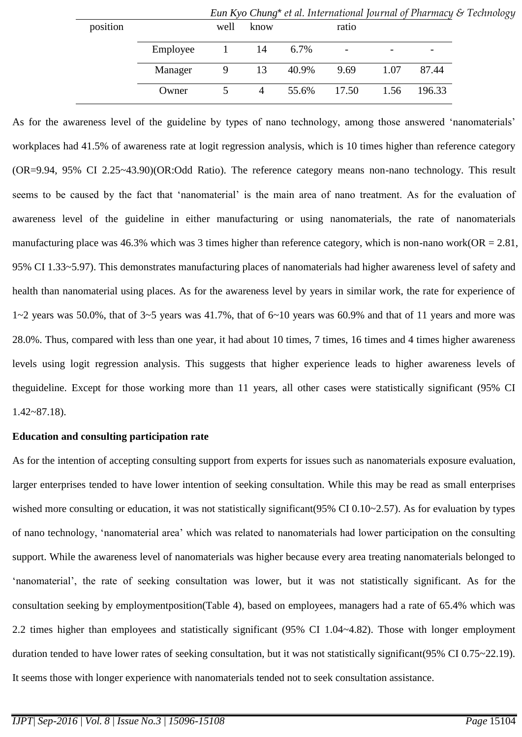|          |          |          |      |       | Lan Ryo Chang - et al. International fournation of Frammacy & Feemolog |                          |                          |
|----------|----------|----------|------|-------|------------------------------------------------------------------------|--------------------------|--------------------------|
| position |          | well     | know |       | ratio                                                                  |                          |                          |
|          | Employee | $\sim$ 1 | 14   | 6.7%  | $\overline{\phantom{a}}$                                               | $\overline{\phantom{a}}$ | $\overline{\phantom{0}}$ |
|          | Manager  |          | 9 13 | 40.9% | 9.69                                                                   | 1.07                     | 87.44                    |
|          | Owner    |          | 4    |       | 55.6% 17.50                                                            | 1.56                     | 196.33                   |
|          |          |          |      |       |                                                                        |                          |                          |

*Eun Kyo Chung*\* *et al. International Journal of Pharmacy & Technology*

As for the awareness level of the guideline by types of nano technology, among those answered 'nanomaterials' workplaces had 41.5% of awareness rate at logit regression analysis, which is 10 times higher than reference category (OR=9.94, 95% CI 2.25~43.90)(OR:Odd Ratio). The reference category means non-nano technology. This result seems to be caused by the fact that 'nanomaterial' is the main area of nano treatment. As for the evaluation of awareness level of the guideline in either manufacturing or using nanomaterials, the rate of nanomaterials manufacturing place was 46.3% which was 3 times higher than reference category, which is non-nano work( $OR = 2.81$ , 95% CI 1.33~5.97). This demonstrates manufacturing places of nanomaterials had higher awareness level of safety and health than nanomaterial using places. As for the awareness level by years in similar work, the rate for experience of  $1~2$  years was 50.0%, that of  $3~5$  years was 41.7%, that of  $6~10$  years was 60.9% and that of 11 years and more was 28.0%. Thus, compared with less than one year, it had about 10 times, 7 times, 16 times and 4 times higher awareness levels using logit regression analysis. This suggests that higher experience leads to higher awareness levels of theguideline. Except for those working more than 11 years, all other cases were statistically significant (95% CI 1.42~87.18).

## **Education and consulting participation rate**

As for the intention of accepting consulting support from experts for issues such as nanomaterials exposure evaluation, larger enterprises tended to have lower intention of seeking consultation. While this may be read as small enterprises wished more consulting or education, it was not statistically significant(95% CI 0.10~2.57). As for evaluation by types of nano technology, 'nanomaterial area' which was related to nanomaterials had lower participation on the consulting support. While the awareness level of nanomaterials was higher because every area treating nanomaterials belonged to 'nanomaterial', the rate of seeking consultation was lower, but it was not statistically significant. As for the consultation seeking by employmentposition(Table 4), based on employees, managers had a rate of 65.4% which was 2.2 times higher than employees and statistically significant (95% CI 1.04~4.82). Those with longer employment duration tended to have lower rates of seeking consultation, but it was not statistically significant(95% CI 0.75~22.19). It seems those with longer experience with nanomaterials tended not to seek consultation assistance.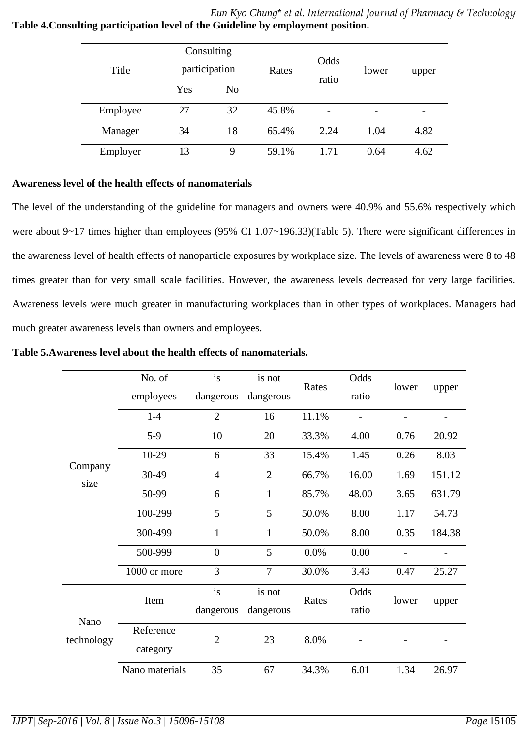## *Eun Kyo Chung*\* *et al. International Journal of Pharmacy & Technology* **Table 4.Consulting participation level of the Guideline by employment position.**

| Title    | Consulting<br>participation |                | Rates | Odds<br>ratio | lower | upper |
|----------|-----------------------------|----------------|-------|---------------|-------|-------|
|          | Yes                         | N <sub>0</sub> |       |               |       |       |
| Employee | 27                          | 32             | 45.8% |               |       |       |
| Manager  | 34                          | 18             | 65.4% | 2.24          | 1.04  | 4.82  |
| Employer | 13                          | 9              | 59.1% | 1.71          | 0.64  | 4.62  |

## **Awareness level of the health effects of nanomaterials**

The level of the understanding of the guideline for managers and owners were 40.9% and 55.6% respectively which were about 9~17 times higher than employees (95% CI 1.07~196.33)(Table 5). There were significant differences in the awareness level of health effects of nanoparticle exposures by workplace size. The levels of awareness were 8 to 48 times greater than for very small scale facilities. However, the awareness levels decreased for very large facilities. Awareness levels were much greater in manufacturing workplaces than in other types of workplaces. Managers had much greater awareness levels than owners and employees.

## **Table 5.Awareness level about the health effects of nanomaterials.**

|            | No. of         | is             | is not         | Rates | Odds  | lower |        |
|------------|----------------|----------------|----------------|-------|-------|-------|--------|
|            | employees      | dangerous      | dangerous      |       | ratio |       | upper  |
|            | $1 - 4$        | $\overline{2}$ | 16             | 11.1% |       |       |        |
|            | $5-9$          | 10             | 20             | 33.3% | 4.00  | 0.76  | 20.92  |
| Company    | $10-29$        | 6              | 33             | 15.4% | 1.45  | 0.26  | 8.03   |
| size       | 30-49          | $\overline{4}$ | $\overline{2}$ | 66.7% | 16.00 | 1.69  | 151.12 |
|            | 50-99          | 6              | $\mathbf{1}$   | 85.7% | 48.00 | 3.65  | 631.79 |
|            | 100-299        | 5              | 5              | 50.0% | 8.00  | 1.17  | 54.73  |
|            | 300-499        | $\mathbf{1}$   | $\mathbf{1}$   | 50.0% | 8.00  | 0.35  | 184.38 |
|            | 500-999        | $\overline{0}$ | 5              | 0.0%  | 0.00  |       |        |
|            | 1000 or more   | 3              | $\overline{7}$ | 30.0% | 3.43  | 0.47  | 25.27  |
|            | Item           | is             | is not         | Rates | Odds  | lower | upper  |
| Nano       |                | dangerous      | dangerous      |       | ratio |       |        |
| technology | Reference      | $\overline{2}$ | 23             | 8.0%  |       |       |        |
|            | category       |                |                |       |       |       |        |
|            | Nano materials | 35             | 67             | 34.3% | 6.01  | 1.34  | 26.97  |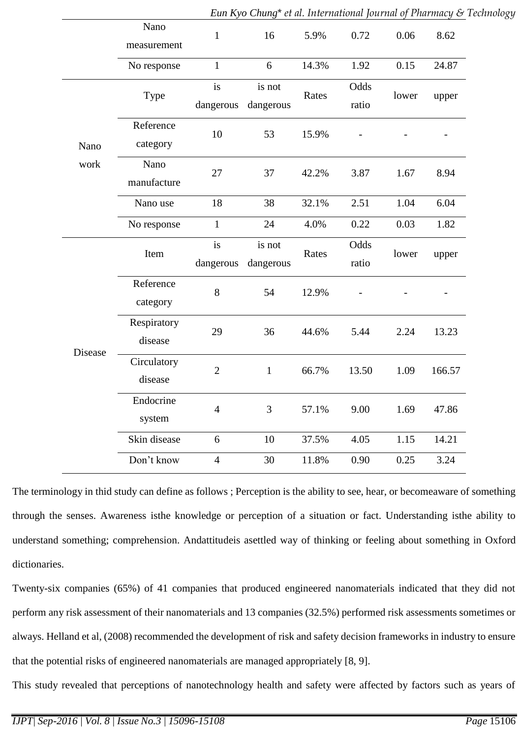|              | Nano<br>measurement | $\mathbf{1}$   | 16           | 5.9%  | 0.72  | 0.06  | 8.62   |  |
|--------------|---------------------|----------------|--------------|-------|-------|-------|--------|--|
|              | No response         | $\mathbf{1}$   | 6            | 14.3% | 1.92  | 0.15  | 24.87  |  |
|              |                     | is             | is not       | Rates | Odds  |       |        |  |
|              | Type                | dangerous      | dangerous    |       | ratio | lower | upper  |  |
|              | Reference           | 10             | 53           | 15.9% |       |       |        |  |
| Nano<br>work | category            |                |              |       |       |       |        |  |
|              | Nano                | 27             | 37           | 42.2% | 3.87  | 1.67  | 8.94   |  |
|              | manufacture         |                |              |       |       |       |        |  |
|              | Nano use            | 18             | 38           | 32.1% | 2.51  | 1.04  | 6.04   |  |
|              | No response         | $\mathbf{1}$   | 24           | 4.0%  | 0.22  | 0.03  | 1.82   |  |
|              | Item                | is             | is not       | Rates | Odds  | lower | upper  |  |
|              |                     | dangerous      | dangerous    |       | ratio |       |        |  |
|              | Reference           | 8              | 54           | 12.9% |       |       |        |  |
|              | category            |                |              |       |       |       |        |  |
|              | Respiratory         | 29             | 36           | 44.6% | 5.44  | 2.24  | 13.23  |  |
| Disease      | disease             |                |              |       |       |       |        |  |
|              | Circulatory         | $\overline{2}$ | $\mathbf{1}$ | 66.7% | 13.50 | 1.09  | 166.57 |  |
|              | disease             |                |              |       |       |       |        |  |
|              | Endocrine           | $\overline{4}$ | 3            | 57.1% | 9.00  | 1.69  | 47.86  |  |
|              | system              |                |              |       |       |       |        |  |
|              | Skin disease        | 6              | 10           | 37.5% | 4.05  | 1.15  | 14.21  |  |
|              | Don't know          | $\overline{4}$ | 30           | 11.8% | 0.90  | 0.25  | 3.24   |  |
|              |                     |                |              |       |       |       |        |  |

The terminology in thid study can define as follows ; Perception is the [ability](http://www.oxforddictionaries.com/definition/english/%20%20%20%20%20%20%20%20%20%20%20%20http:/www.oxforddictionaries.com/definition/english/ability) to [see,](http://www.oxforddictionaries.com/definition/english/%20%20%20%20%20%20%20%20%20%20%20%20http:/www.oxforddictionaries.com/definition/english/see#see) [hear,](http://www.oxforddictionaries.com/definition/english/%20%20%20%20%20%20%20%20%20%20%20%20http:/www.oxforddictionaries.com/definition/english/hear) or [becomeaware](http://www.oxforddictionaries.com/definition/english/%20%20%20%20%20%20%20%20%20%20%20%20http:/www.oxforddictionaries.com/definition/english/become) of something through the [senses.](http://www.oxforddictionaries.com/definition/english/%20%20%20%20%20%20%20%20%20%20%20%20http:/www.oxforddictionaries.com/definition/english/sense) Awareness isthe [knowledge](http://www.oxforddictionaries.com/definition/english/%20%20%20%20%20%20%20%20%20%20%20%20http:/www.oxforddictionaries.com/definition/english/knowledge) or [perception](http://www.oxforddictionaries.com/definition/english/%20%20%20%20%20%20%20%20%20%20%20%20http:/www.oxforddictionaries.com/definition/english/perception) of a [situation](http://www.oxforddictionaries.com/definition/english/%20%20%20%20%20%20%20%20%20%20%20%20http:/www.oxforddictionaries.com/definition/english/situation) or [fact.](http://www.oxforddictionaries.com/definition/english/%20%20%20%20%20%20%20%20%20%20%20%20http:/www.oxforddictionaries.com/definition/english/fact) Understanding isthe [ability](http://www.oxforddictionaries.com/definition/english/%20%20%20%20%20%20%20%20%20%20%20%20http:/www.oxforddictionaries.com/definition/english/ability) to [understand](http://www.oxforddictionaries.com/definition/english/%20%20%20%20%20%20%20%20%20%20%20%20http:/www.oxforddictionaries.com/definition/english/understand) something; [comprehension.](http://www.oxforddictionaries.com/definition/english/%20%20%20%20%20%20%20%20%20%20%20%20http:/www.oxforddictionaries.com/definition/english/comprehension) Andattitudeis [asettled](http://www.oxforddictionaries.com/definition/english/%20%20%20%20%20%20%20%20%20%20%20%20http:/www.oxforddictionaries.com/definition/english/settle#settle) way of thinking or [feeling](http://www.oxforddictionaries.com/definition/english/%20%20%20%20%20%20%20%20%20%20%20%20http:/www.oxforddictionaries.com/definition/english/feel) about something in [Oxford](http://www.oxforddictionaries.com/account/subscribe)  [dictionaries.](http://www.oxforddictionaries.com/account/subscribe)

Twenty-six companies (65%) of 41 companies that produced engineered nanomaterials indicated that they did not perform any risk assessment of their nanomaterials and 13 companies (32.5%) performed risk assessments sometimes or always. Helland et al, (2008) recommended the development of risk and safety decision frameworks in industry to ensure that the potential risks of engineered nanomaterials are managed appropriately [8, 9].

This study revealed that perceptions of nanotechnology health and safety were affected by factors such as years of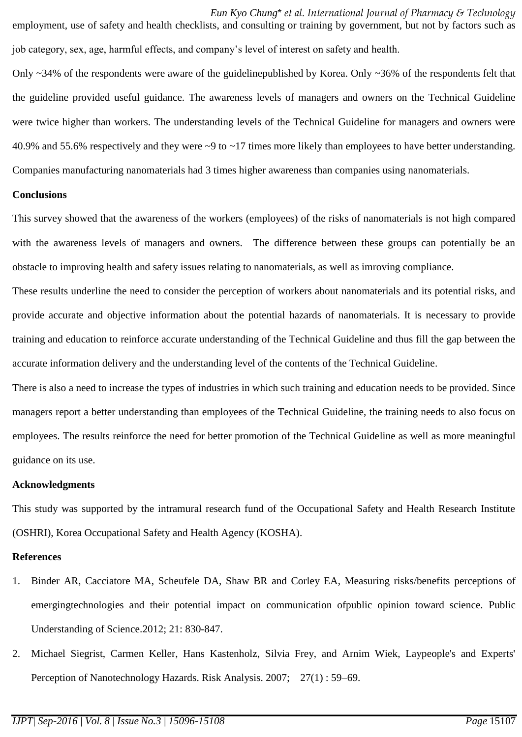*Eun Kyo Chung*\* *et al. International Journal of Pharmacy & Technology* employment, use of safety and health checklists, and consulting or training by government, but not by factors such as job category, sex, age, harmful effects, and company's level of interest on safety and health.

Only  $\sim$ 34% of the respondents were aware of the guidelinepublished by Korea. Only  $\sim$ 36% of the respondents felt that the guideline provided useful guidance. The awareness levels of managers and owners on the Technical Guideline were twice higher than workers. The understanding levels of the Technical Guideline for managers and owners were 40.9% and 55.6% respectively and they were ~9 to ~17 times more likely than employees to have better understanding. Companies manufacturing nanomaterials had 3 times higher awareness than companies using nanomaterials.

### **Conclusions**

This survey showed that the awareness of the workers (employees) of the risks of nanomaterials is not high compared with the awareness levels of managers and owners. The difference between these groups can potentially be an obstacle to improving health and safety issues relating to nanomaterials, as well as imroving compliance.

These results underline the need to consider the perception of workers about nanomaterials and its potential risks, and provide accurate and objective information about the potential hazards of nanomaterials. It is necessary to provide training and education to reinforce accurate understanding of the Technical Guideline and thus fill the gap between the accurate information delivery and the understanding level of the contents of the Technical Guideline.

There is also a need to increase the types of industries in which such training and education needs to be provided. Since managers report a better understanding than employees of the Technical Guideline, the training needs to also focus on employees. The results reinforce the need for better promotion of the Technical Guideline as well as more meaningful guidance on its use.

### **Acknowledgments**

This study was supported by the intramural research fund of the Occupational Safety and Health Research Institute (OSHRI), Korea Occupational Safety and Health Agency (KOSHA).

## **References**

- 1. Binder AR, Cacciatore MA, Scheufele DA, Shaw BR and Corley EA, Measuring risks/benefits perceptions of emergingtechnologies and their potential impact on communication ofpublic opinion toward science. Public Understanding of Science.2012; 21: 830-847.
- 2. Michael Siegrist, Carmen Keller, Hans Kastenholz, Silvia Frey, and Arnim Wiek, Laypeople's and Experts' Perception of Nanotechnology Hazards. Risk Analysis. 2007; 27(1) : 59–69.